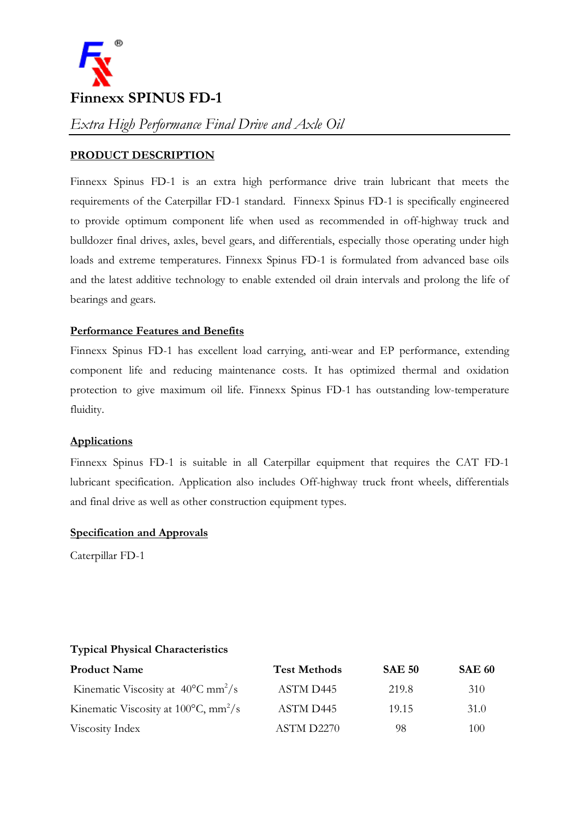

# **PRODUCT DESCRIPTION**

Finnexx Spinus FD-1 is an extra high performance drive train lubricant that meets the requirements of the Caterpillar FD-1 standard. Finnexx Spinus FD-1 is specifically engineered to provide optimum component life when used as recommended in off-highway truck and bulldozer final drives, axles, bevel gears, and differentials, especially those operating under high loads and extreme temperatures. Finnexx Spinus FD-1 is formulated from advanced base oils and the latest additive technology to enable extended oil drain intervals and prolong the life of bearings and gears.

# **Performance Features and Benefits**

Finnexx Spinus FD-1 has excellent load carrying, anti-wear and EP performance, extending component life and reducing maintenance costs. It has optimized thermal and oxidation protection to give maximum oil life. Finnexx Spinus FD-1 has outstanding low-temperature fluidity.

## **Applications**

Finnexx Spinus FD-1 is suitable in all Caterpillar equipment that requires the CAT FD-1 lubricant specification. Application also includes Off-highway truck front wheels, differentials and final drive as well as other construction equipment types.

## **Specification and Approvals**

Caterpillar FD-1

## **Typical Physical Characteristics**

| <b>Product Name</b>                                        | <b>Test Methods</b> | <b>SAE 50</b> | <b>SAE 60</b> |
|------------------------------------------------------------|---------------------|---------------|---------------|
| Kinematic Viscosity at $40^{\circ}$ C mm <sup>2</sup> /s   | ASTM D445           | 219.8         | 310           |
| Kinematic Viscosity at $100^{\circ}$ C, mm <sup>2</sup> /s | ASTM D445           | 19.15         | 31.0          |
| Viscosity Index                                            | ASTM D2270          | 98            | 100           |